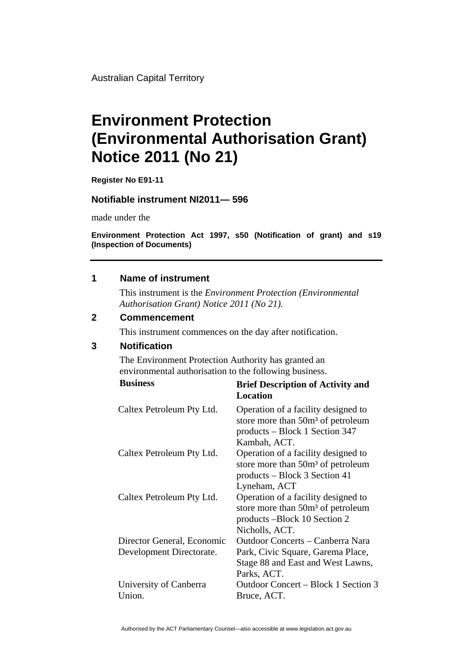Australian Capital Territory

# **Environment Protection (Environmental Authorisation Grant) Notice 2011 (No 21)**

**Register No E91-11** 

#### **Notifiable instrument NI2011— 596**

made under the

**Environment Protection Act 1997, s50 (Notification of grant) and s19 (Inspection of Documents)** 

#### **1 Name of instrument**

This instrument is the *Environment Protection (Environmental Authorisation Grant) Notice 2011 (No 21).* 

#### **2 Commencement**

This instrument commences on the day after notification.

### **3 Notification**

The Environment Protection Authority has granted an environmental authorisation to the following business.

| <b>Business</b>            | <b>Brief Description of Activity and</b><br>Location                                                                                    |
|----------------------------|-----------------------------------------------------------------------------------------------------------------------------------------|
| Caltex Petroleum Pty Ltd.  | Operation of a facility designed to<br>store more than 50m <sup>3</sup> of petroleum<br>products – Block 1 Section 347<br>Kambah, ACT.  |
| Caltex Petroleum Pty Ltd.  | Operation of a facility designed to<br>store more than 50m <sup>3</sup> of petroleum<br>products – Block 3 Section 41<br>Lyneham, ACT   |
| Caltex Petroleum Pty Ltd.  | Operation of a facility designed to<br>store more than 50m <sup>3</sup> of petroleum<br>products – Block 10 Section 2<br>Nicholls, ACT. |
| Director General, Economic | <b>Outdoor Concerts – Canberra Nara</b>                                                                                                 |
| Development Directorate.   | Park, Civic Square, Garema Place,                                                                                                       |
|                            | Stage 88 and East and West Lawns,<br>Parks, ACT.                                                                                        |
| University of Canberra     | Outdoor Concert – Block 1 Section 3                                                                                                     |
| Union.                     | Bruce, ACT.                                                                                                                             |